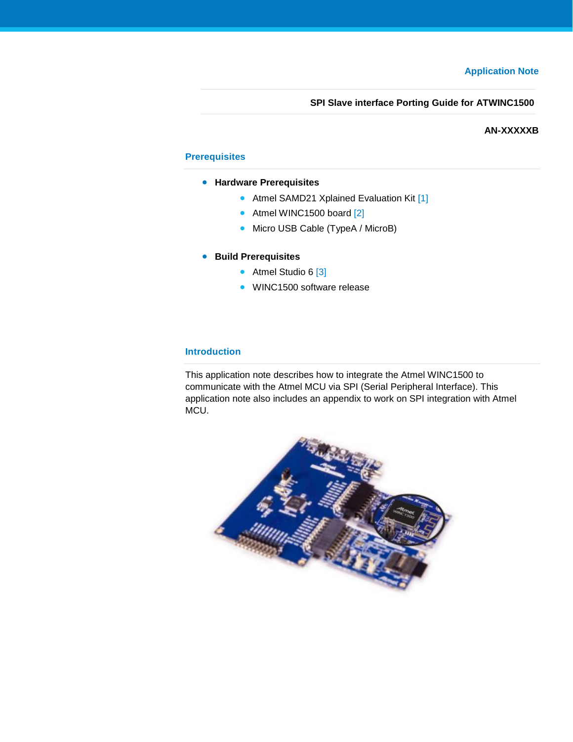**SPI Slave interface Porting Guide for ATWINC1500**

#### **AN-XXXXXB**

## <span id="page-0-1"></span>**Prerequisites**

- **Hardware Prerequisites**
	- Atmel SAMD21 Xplained Evaluation Kit [\[1\]](#page-10-0)
	- Atmel WINC1500 board [\[2\]](#page-10-1)
	- Micro USB Cable (TypeA / MicroB)
- **Build Prerequisites**
	- Atmel Studio 6 [\[3\]](#page-10-2)
	- WINC1500 software release

#### <span id="page-0-2"></span>**Introduction**

This application note describes how to integrate the Atmel WINC1500 to communicate with the Atmel MCU via SPI (Serial Peripheral Interface). This application note also includes an appendix to work on SPI integration with Atmel MCU.

<span id="page-0-0"></span>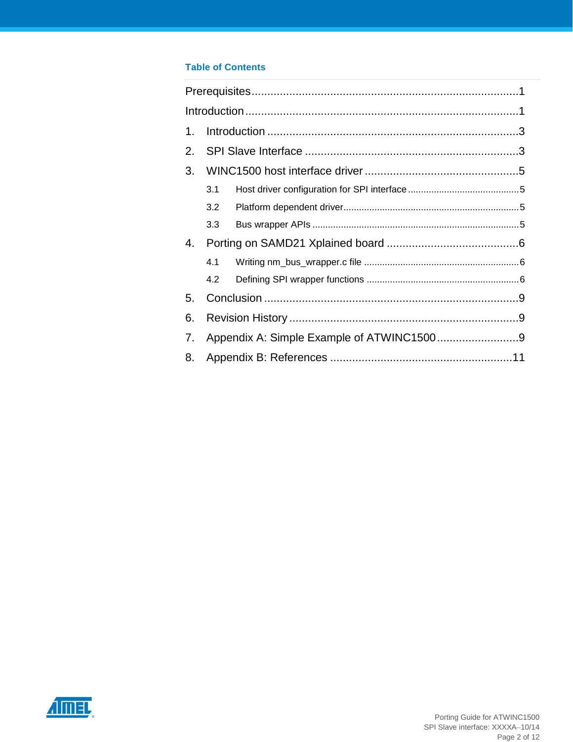## **Table of Contents**

| 1. |     |  |
|----|-----|--|
| 2. |     |  |
| 3. |     |  |
|    | 3.1 |  |
|    | 3.2 |  |
|    | 3.3 |  |
| 4. |     |  |
|    | 4.1 |  |
|    | 4.2 |  |
| 5. |     |  |
| 6. |     |  |
| 7. |     |  |
| 8. |     |  |

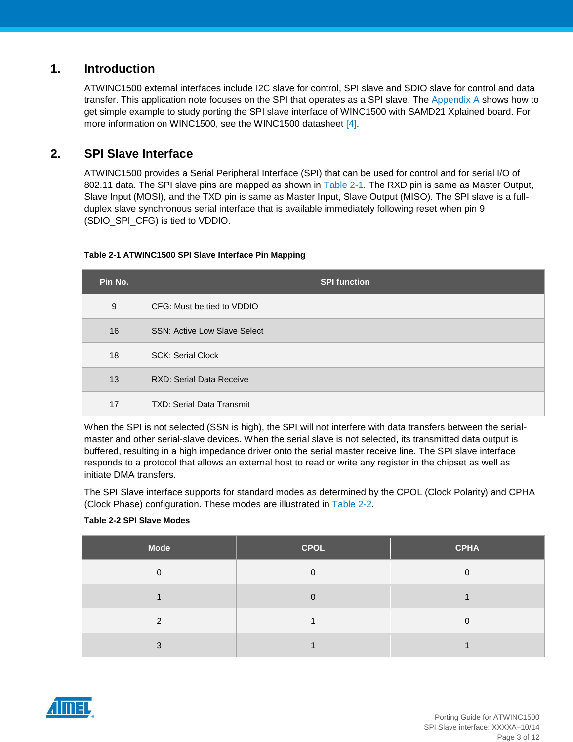# <span id="page-2-0"></span>**1. Introduction**

ATWINC1500 external interfaces include I2C slave for control, SPI slave and SDIO slave for control and data transfer. This application note focuses on the SPI that operates as a SPI slave. The [Appendix](#page-8-2) A shows how to get simple example to study porting the SPI slave interface of WINC1500 with SAMD21 Xplained board. For more information on WINC1500, see the WINC1500 datasheet [\[4\].](#page-10-4)

# <span id="page-2-1"></span>**2. SPI Slave Interface**

ATWINC1500 provides a Serial Peripheral Interface (SPI) that can be used for control and for serial I/O of 802.11 data. The SPI slave pins are mapped as shown in [Table 2-1.](#page-2-2) The RXD pin is same as Master Output, Slave Input (MOSI), and the TXD pin is same as Master Input, Slave Output (MISO). The SPI slave is a fullduplex slave synchronous serial interface that is available immediately following reset when pin 9 (SDIO\_SPI\_CFG) is tied to VDDIO.

#### **Table 2-1 ATWINC1500 SPI Slave Interface Pin Mapping**

<span id="page-2-2"></span>

| Pin No. | <b>SPI function</b>                 |
|---------|-------------------------------------|
| 9       | CFG: Must be tied to VDDIO          |
| 16      | <b>SSN: Active Low Slave Select</b> |
| 18      | <b>SCK: Serial Clock</b>            |
| 13      | <b>RXD: Serial Data Receive</b>     |
| 17      | <b>TXD: Serial Data Transmit</b>    |

When the SPI is not selected (SSN is high), the SPI will not interfere with data transfers between the serialmaster and other serial-slave devices. When the serial slave is not selected, its transmitted data output is buffered, resulting in a high impedance driver onto the serial master receive line. The SPI slave interface responds to a protocol that allows an external host to read or write any register in the chipset as well as initiate DMA transfers.

The SPI Slave interface supports for standard modes as determined by the CPOL (Clock Polarity) and CPHA (Clock Phase) configuration. These modes are illustrated in [Table 2-2.](#page-2-3)

#### **Table 2-2 SPI Slave Modes**

<span id="page-2-3"></span>

| <b>Mode</b> | <b>CPOL</b> | <b>CPHA</b> |
|-------------|-------------|-------------|
| $\Omega$    | 0           | ∩           |
|             | 0           |             |
| C           |             | ∩           |
| ◠           |             |             |

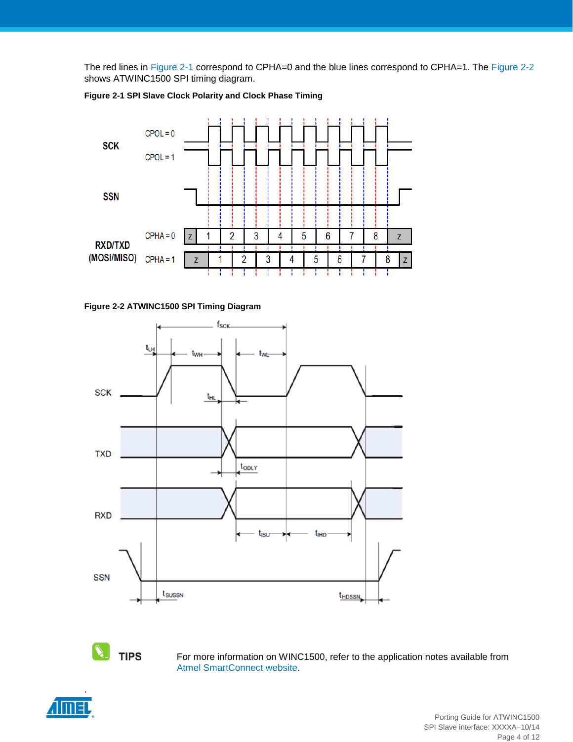The red lines in [Figure 2-1](#page-3-0) correspond to CPHA=0 and the blue lines correspond to CPHA=1. The [Figure 2-2](#page-3-1) shows ATWINC1500 SPI timing diagram.

<span id="page-3-0"></span>

**Figure 2-1 SPI Slave Clock Polarity and Clock Phase Timing**

<span id="page-3-1"></span>



**TIPS** 

For more information on WINC1500, refer to the application notes available from [Atmel SmartConnect website.](http://www.atmel.com/products/wireless/wifi/smart-connect.aspx)

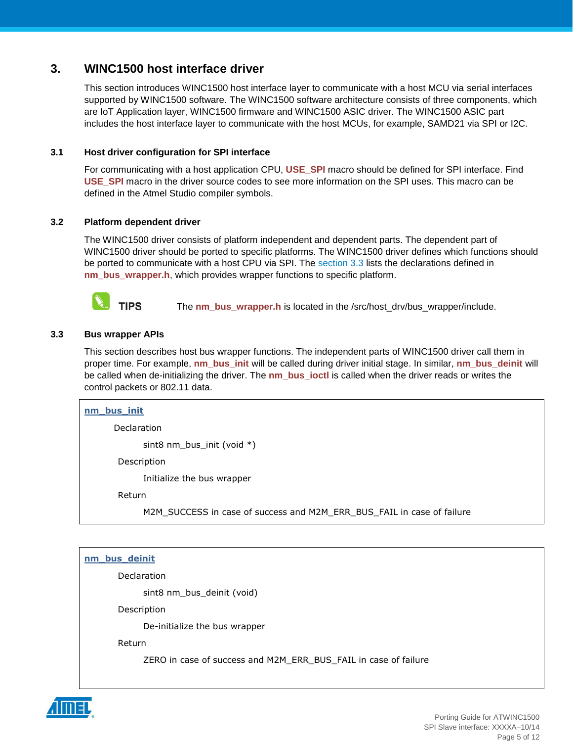# <span id="page-4-0"></span>**3. WINC1500 host interface driver**

This section introduces WINC1500 host interface layer to communicate with a host MCU via serial interfaces supported by WINC1500 software. The WINC1500 software architecture consists of three components, which are IoT Application layer, WINC1500 firmware and WINC1500 ASIC driver. The WINC1500 ASIC part includes the host interface layer to communicate with the host MCUs, for example, SAMD21 via SPI or I2C.

#### <span id="page-4-1"></span>**3.1 Host driver configuration for SPI interface**

For communicating with a host application CPU, **USE\_SPI** macro should be defined for SPI interface. Find **USE\_SPI** macro in the driver source codes to see more information on the SPI uses. This macro can be defined in the Atmel Studio compiler symbols.

#### <span id="page-4-2"></span>**3.2 Platform dependent driver**

The WINC1500 driver consists of platform independent and dependent parts. The dependent part of WINC1500 driver should be ported to specific platforms. The WINC1500 driver defines which functions should be ported to communicate with a host CPU via SPI. The [section 3.3](#page-4-3) lists the declarations defined in **nm\_bus\_wrapper.h**, which provides wrapper functions to specific platform.



The **nm** bus wrapper.h is located in the /src/host drv/bus wrapper/include.

#### <span id="page-4-3"></span>**3.3 Bus wrapper APIs**

This section describes host bus wrapper functions. The independent parts of WINC1500 driver call them in proper time. For example, **nm\_bus\_init** will be called during driver initial stage. In similar, **nm\_bus\_deinit** will be called when de-initializing the driver. The **nm** bus joctl is called when the driver reads or writes the control packets or 802.11 data.

| nm_bus_init |                                                                        |  |
|-------------|------------------------------------------------------------------------|--|
| Declaration |                                                                        |  |
|             | sint8 $nm_bus_init$ (void *)                                           |  |
|             | Description                                                            |  |
|             | Initialize the bus wrapper                                             |  |
| Return      |                                                                        |  |
|             | M2M_SUCCESS in case of success and M2M_ERR_BUS_FAIL in case of failure |  |

#### **nm\_bus\_deinit**

Declaration

sint8 nm\_bus\_deinit (void)

Description

De-initialize the bus wrapper

Return

ZERO in case of success and M2M\_ERR\_BUS\_FAIL in case of failure

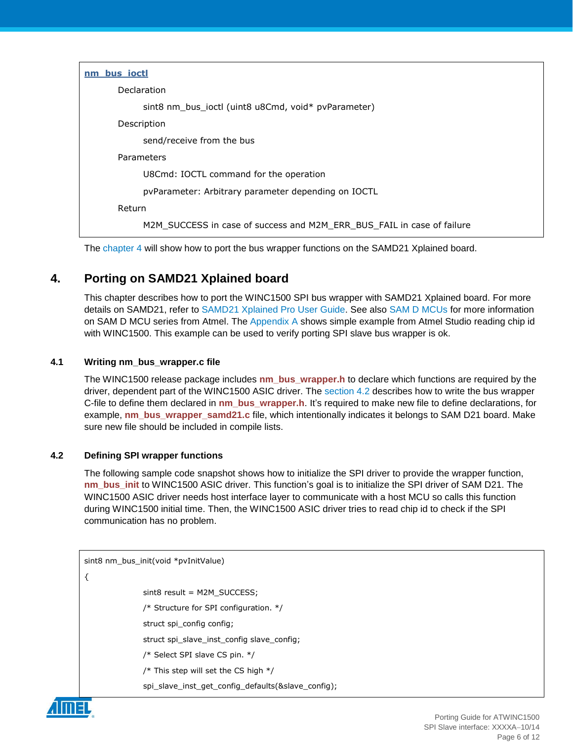| nm bus ioctl                                                           |
|------------------------------------------------------------------------|
| Declaration                                                            |
| sint8 nm_bus_ioctl (uint8 u8Cmd, void* pvParameter)                    |
| Description                                                            |
| send/receive from the bus                                              |
| Parameters                                                             |
| U8Cmd: IOCTL command for the operation                                 |
| pvParameter: Arbitrary parameter depending on IOCTL                    |
| Return                                                                 |
| M2M SUCCESS in case of success and M2M ERR BUS FAIL in case of failure |

The [chapter 4](#page-5-0) will show how to port the bus wrapper functions on the SAMD21 Xplained board.

# <span id="page-5-0"></span>**4. Porting on SAMD21 Xplained board**

This chapter describes how to port the WINC1500 SPI bus wrapper with SAMD21 Xplained board. For more details on SAMD21, refer to [SAMD21 Xplained Pro User Guide.](http://www.atmel.com/Images/Atmel-42220-SAMD21-Xplained-Pro_User-Guide.pdf) See also [SAM D MCUs](http://www.atmel.com/products/microcontrollers/arm/sam-d.aspx) for more information on SAM D MCU series from Atmel. The [Appendix](#page-8-2) A shows simple example from Atmel Studio reading chip id with WINC1500. This example can be used to verify porting SPI slave bus wrapper is ok.

## <span id="page-5-1"></span>**4.1 Writing nm\_bus\_wrapper.c file**

The WINC1500 release package includes **nm\_bus\_wrapper.h** to declare which functions are required by the driver, dependent part of the WINC1500 ASIC driver. The [section](#page-5-2) 4.2 describes how to write the bus wrapper C-file to define them declared in **nm\_bus\_wrapper.h**. It's required to make new file to define declarations, for example, **nm\_bus\_wrapper\_samd21.c** file, which intentionally indicates it belongs to SAM D21 board. Make sure new file should be included in compile lists.

## <span id="page-5-2"></span>**4.2 Defining SPI wrapper functions**

The following sample code snapshot shows how to initialize the SPI driver to provide the wrapper function, **nm\_bus\_init** to WINC1500 ASIC driver. This function's goal is to initialize the SPI driver of SAM D21. The WINC1500 ASIC driver needs host interface layer to communicate with a host MCU so calls this function during WINC1500 initial time. Then, the WINC1500 ASIC driver tries to read chip id to check if the SPI communication has no problem.

```
sint8 nm_bus_init(void *pvInitValue)
{
               sint8 result = M2M_SUCCESS;
               /* Structure for SPI configuration. */
               struct spi_config config;
               struct spi_slave_inst_config slave_config;
               /* Select SPI slave CS pin. */
               /* This step will set the CS high */spi_slave_inst_get_config_defaults(&slave_config);
```
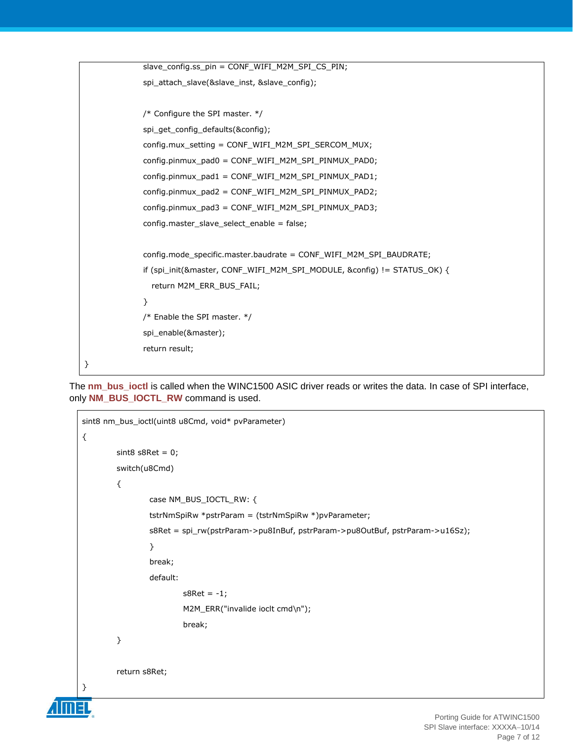```
slave_config.ss_pin = CONF_WIFI_M2M_SPI_CS_PIN;
             spi_attach_slave(&slave_inst, &slave_config);
             /* Configure the SPI master. */
             spi_get_config_defaults(&config);
             config.mux_setting = CONF_WIFI_M2M_SPI_SERCOM_MUX;
             config.pinmux_pad0 = CONF_WIFI_M2M_SPI_PINMUX_PAD0;
             config.pinmux_pad1 = CONF_WIFI_M2M_SPI_PINMUX_PAD1;
             config.pinmux_pad2 = CONF_WIFI_M2M_SPI_PINMUX_PAD2;
             config.pinmux_pad3 = CONF_WIFI_M2M_SPI_PINMUX_PAD3;
             config.master_slave_select_enable = false;
             config.mode_specific.master.baudrate = CONF_WIFI_M2M_SPI_BAUDRATE;
             if (spi_init(&master, CONF_WIFI_M2M_SPI_MODULE, &config) != STATUS_OK) {
               return M2M_ERR_BUS_FAIL;
              }
             /* Enable the SPI master. */
             spi_enable(&master);
              return result;
}
```
The **nm\_bus\_ioctl** is called when the WINC1500 ASIC driver reads or writes the data. In case of SPI interface, only **NM\_BUS\_IOCTL\_RW** command is used.

```
sint8 nm_bus_ioctl(uint8 u8Cmd, void* pvParameter)
{
        sint8 s8Ret = 0;
        switch(u8Cmd)
        {
                case NM_BUS_IOCTL_RW: {
                tstrNmSpiRw *pstrParam = (tstrNmSpiRw *)pvParameter;
                s8Ret = spi_rw(pstrParam->pu8InBuf, pstrParam->pu8OutBuf, pstrParam->u16Sz);
                }
                break;
                default:
                        s8Ret = -1;M2M_ERR("invalide ioclt cmd\n");
                        break;
        }
        return s8Ret;
}
```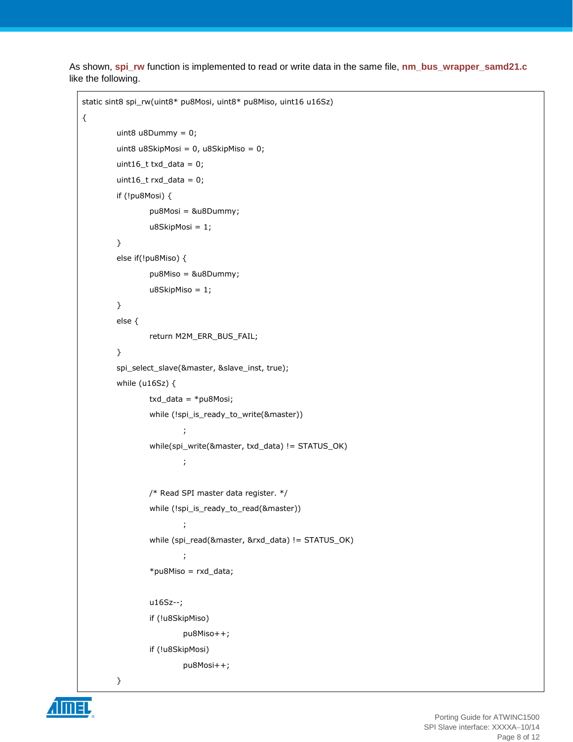As shown, **spi\_rw** function is implemented to read or write data in the same file, **nm\_bus\_wrapper\_samd21.c** like the following.

```
static sint8 spi_rw(uint8* pu8Mosi, uint8* pu8Miso, uint16 u16Sz)
        uint8 u8Dummy = 0;
        uint8 u8SkipMosi = 0, u8SkipMiso = 0;
        uint16_t txd_data = 0;
        uint16_t rxd_data = 0;
        if (!pu8Mosi) {
                pu8Mosi = &u8Dummy;
                u8SkipMosi = 1;
        }
        else if(!pu8Miso) {
                pu8Miso = &u8Dummy;
                u8SkipMiso = 1;
        }
        else {
                return M2M_ERR_BUS_FAIL;
        }
        spi_select_slave(&master, &slave_inst, true);
        while (u16Sz) {
                txd_data = *pu8Mosi;
                while (!spi_is_ready_to_write(&master))
                         ;
                while(spi_write(&master, txd_data) != STATUS_OK)
                         ;
                /* Read SPI master data register. */
                while (!spi_is_ready_to_read(&master))
                         ;
                while (spi_read(&master, &rxd_data) != STATUS_OK)
                         ;
                 *pu8Miso = rxd_data;
                u16Sz--;
                if (!u8SkipMiso)
                         pu8Miso++;
                if (!u8SkipMosi)
                         pu8Mosi++;
        }
```


{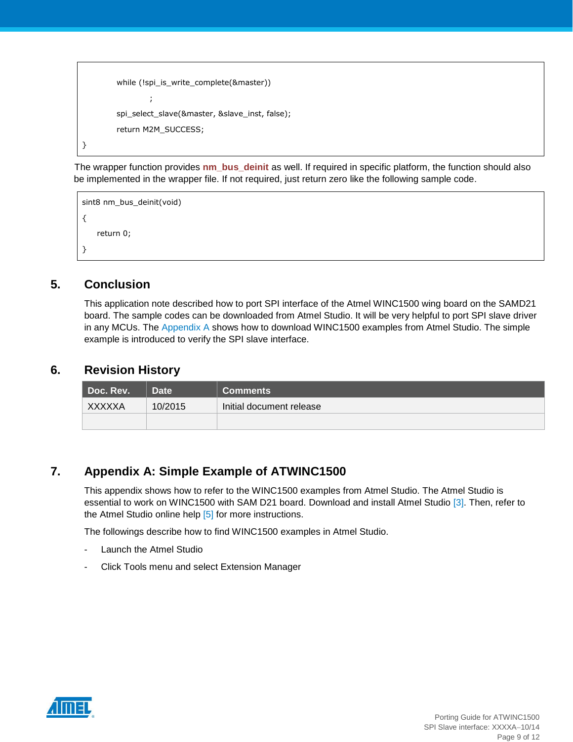```
while (!spi_is_write_complete(&master))
                 ;
        spi_select_slave(&master, &slave_inst, false);
         return M2M_SUCCESS;
}
```
 The wrapper function provides **nm\_bus\_deinit** as well. If required in specific platform, the function should also be implemented in the wrapper file. If not required, just return zero like the following sample code.

```
sint8 nm_bus_deinit(void)
{
    return 0;
}
```
# <span id="page-8-0"></span>**5. Conclusion**

This application note described how to port SPI interface of the Atmel WINC1500 wing board on the SAMD21 board. The sample codes can be downloaded from Atmel Studio. It will be very helpful to port SPI slave driver in any MCUs. The [Appendix A](#page-8-2) shows how to download WINC1500 examples from Atmel Studio. The simple example is introduced to verify the SPI slave interface.

## <span id="page-8-1"></span>**6. Revision History**

| Doc. Rev. I | <b>Date</b> | <b>Comments</b>          |
|-------------|-------------|--------------------------|
| XXXXXA      | 10/2015     | Initial document release |
|             |             |                          |

# <span id="page-8-2"></span>**7. Appendix A: Simple Example of ATWINC1500**

This appendix shows how to refer to the WINC1500 examples from Atmel Studio. The Atmel Studio is essential to work on WINC1500 with SAM D21 board. Download and install Atmel Studio [\[3\].](#page-10-2) Then, refer to the Atmel Studio online help [\[5\]](#page-10-5) for more instructions.

The followings describe how to find WINC1500 examples in Atmel Studio.

- Launch the Atmel Studio
- Click Tools menu and select Extension Manager

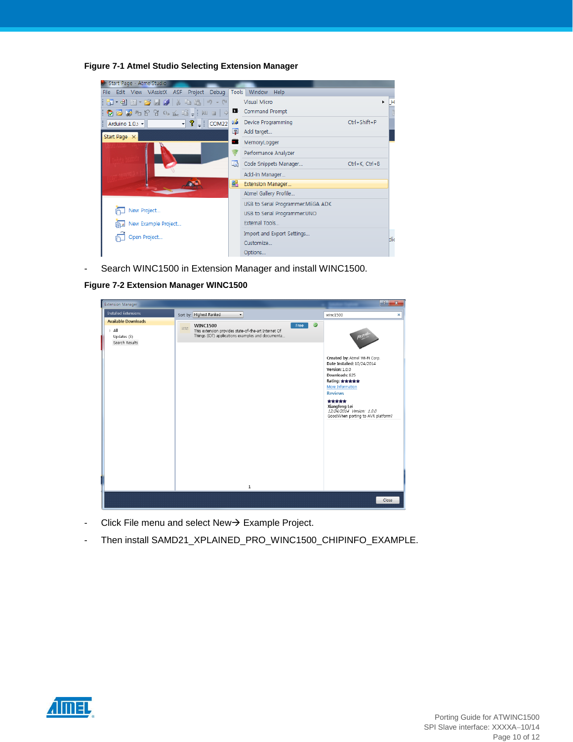**Figure 7-1 Atmel Studio Selecting Extension Manager**

| Start Page - AtmelStudio                                       |     |                                    |                |    |
|----------------------------------------------------------------|-----|------------------------------------|----------------|----|
| Edit View VAssistX ASF Project Debug Tools Window Help<br>File |     |                                    |                |    |
| <b>御・母 泗・6 月 6</b>   3 电 8   9 - 6                             |     | Visual Micro                       |                |    |
| ◘ ☞ ନିଆରେ ନିଆରେ କୁ : pu □   ୦ ■ command Prompt                 |     |                                    |                |    |
| $\sqrt{2}$ = $\vert$ COM22<br>Arduino $1.0$ . $-$              | VÁ. | Device Programming                 | Ctrl+Shift+P   |    |
| Start Page X                                                   | 图   | Add target                         |                |    |
|                                                                |     | MemoryLogger                       |                |    |
|                                                                |     | Performance Analyzer               |                |    |
|                                                                | G   | Code Snippets Manager              | Ctrl+K, Ctrl+B |    |
|                                                                |     | Add-in Manager                     |                |    |
|                                                                | 邙   | Extension Manager                  |                |    |
|                                                                |     | Atmel Gallery Profile              |                |    |
|                                                                |     | USB to Serial Programmer: MEGA ADK |                |    |
| New Project                                                    |     | USB to Serial Programmer:UNO       |                |    |
| New Example Project<br>⊫                                       |     | External Tools                     |                |    |
| Open Project                                                   |     | Import and Export Settings         |                | Ыi |
|                                                                |     | Customize                          |                |    |
|                                                                |     | Options                            |                |    |

- Search WINC1500 in Extension Manager and install WINC1500.

**Figure 7-2 Extension Manager WINC1500**

| <b>Extension Manager</b>                                                            |                                                                                                                                                                                                |           | r v<br>×                                                                                                                                                                                                                                                                   |
|-------------------------------------------------------------------------------------|------------------------------------------------------------------------------------------------------------------------------------------------------------------------------------------------|-----------|----------------------------------------------------------------------------------------------------------------------------------------------------------------------------------------------------------------------------------------------------------------------------|
| <b>Installed Extensions</b>                                                         | Sort by: Highest Ranked<br>$\bullet$                                                                                                                                                           |           | winc1500<br>×                                                                                                                                                                                                                                                              |
| <b>Available Downloads</b><br>$\triangleright$ All<br>Updates (3)<br>Search Results | <b>WINC1500</b><br>Free<br>$\frac{1000\text{Npc}}{1000\text{Npc}}$<br>This extension provides state-of-the-art Internet Of<br>Things (IOT) applications examples and documenta<br>$\mathbf{1}$ | $\bullet$ | Accor<br>Created by: Atmel Wi-Fi Corp.<br>Date Installed: 10/24/2014<br><b>Version: 1.0.0</b><br>Downloads: 825<br>Rating: ★★★★★<br>More Information<br><b>Reviews</b><br><b>京京京京京</b><br>Xiangfeng Lei<br>12/24/2014 Version: 1.0.0<br>Good!When porting to AVR platform? |
|                                                                                     |                                                                                                                                                                                                |           | Close                                                                                                                                                                                                                                                                      |

- Click File menu and select  $New \rightarrow Example$  Project.
- Then install SAMD21\_XPLAINED\_PRO\_WINC1500\_CHIPINFO\_EXAMPLE.

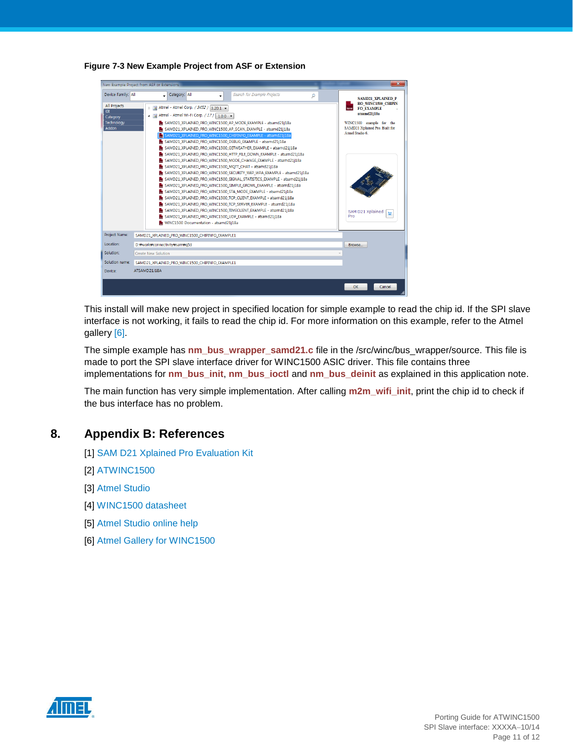

**Figure 7-3 New Example Project from ASF or Extension**

This install will make new project in specified location for simple example to read the chip id. If the SPI slave interface is not working, it fails to read the chip id. For more information on this example, refer to the Atmel gallery [\[6\].](#page-10-6)

The simple example has **nm\_bus\_wrapper\_samd21.c** file in the /src/winc/bus\_wrapper/source. This file is made to port the SPI slave interface driver for WINC1500 ASIC driver. This file contains three implementations for **nm\_bus\_init**, **nm\_bus\_ioctl** and **nm\_bus\_deinit** as explained in this application note.

The main function has very simple implementation. After calling **m2m\_wifi\_init**, print the chip id to check if the bus interface has no problem.

## <span id="page-10-3"></span><span id="page-10-0"></span>**8. Appendix B: References**

- [1] [SAM D21 Xplained Pro Evaluation Kit](http://www.atmel.com/tools/atsamd21-xpro.aspx?tab=overview)
- <span id="page-10-1"></span>[2] [ATWINC1500](http://www.atmel.com/devices/atwinc1500.aspx)
- <span id="page-10-2"></span>[3] [Atmel Studio](http://www.atmel.com/microsite/atmel_studio6/default.aspx)
- <span id="page-10-4"></span>[4] [WINC1500 datasheet](http://www.atmel.com/images/atmel-42353-smartconnect-winc1500_datasheet.pdf)
- <span id="page-10-5"></span>[5] [Atmel Studio online help](http://www.atmel.com/webdoc/atmelstudio/index.html)
- <span id="page-10-6"></span>[6] [Atmel Gallery for WINC1500](https://gallery.atmel.com/Products/Details/17cdbcd4-e410-4587-8129-e85d1c92627c?)